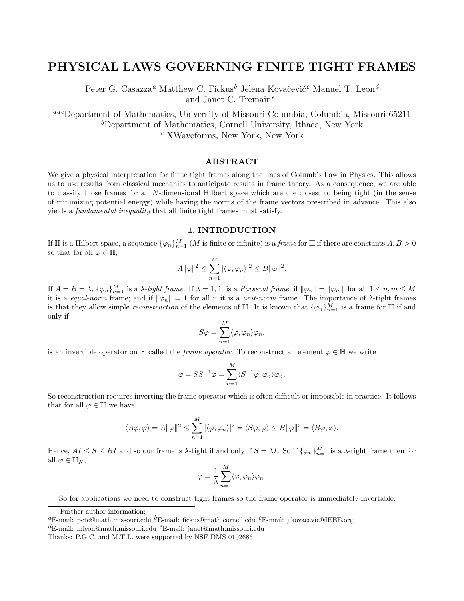# **PHYSICAL LAWS GOVERNING FINITE TIGHT FRAMES**

Peter G. Casazza<sup>*a*</sup> Matthew C. Fickus<sup>*b*</sup> Jelena Kovačević<sup>*c*</sup> Manuel T. Leon<sup>*d*</sup> and Janet C. Tremain*<sup>e</sup>*

*ade*Department of Mathematics, University of Missouri-Columbia, Columbia, Missouri 65211 *<sup>b</sup>*Department of Mathematics, Cornell University, Ithaca, New York *<sup>c</sup>* XWaveforms, New York, New York

## **ABSTRACT**

We give a physical interpretation for finite tight frames along the lines of Columb's Law in Physics. This allows us to use results from classical mechanics to anticipate results in frame theory. As a consequence, we are able to classify those frames for an N-dimensional Hilbert space which are the closest to being tight (in the sense of minimizing potential energy) while having the norms of the frame vectors prescribed in advance. This also yields a fundamental inequality that all finite tight frames must satisfy.

## **1. INTRODUCTION**

If  $\mathbb H$  is a Hilbert space, a sequence  $\{\varphi_n\}_{n=1}^M$  (*M* is finite or infinite) is a *frame* for  $\mathbb H$  if there are constants  $A, B > 0$ so that for all  $\varphi \in \mathbb{H}$ ,

$$
A\|\varphi\|^2 \le \sum_{n=1}^M |\langle \varphi, \varphi_n \rangle|^2 \le B\|\varphi\|^2.
$$

If  $A = B = \lambda$ ,  $\{\varphi_n\}_{n=1}^M$  is a  $\lambda$ -tight frame. If  $\lambda = 1$ , it is a *Parseval frame*; if  $\|\varphi_n\| = \|\varphi_m\|$  for all  $1 \le n, m \le M$ it is a equal-norm frame; and if  $\|\varphi_n\|=1$  for all n it is a unit-norm frame. The importance of  $\lambda$ -tight frames is that they allow simple *reconstruction* of the elements of  $\mathbb{H}$ . It is known that  $\{\varphi_n\}_{n=1}^M$  is a frame for  $\mathbb{H}$  if and only if

$$
S\varphi = \sum_{n=1}^{M} \langle \varphi, \varphi_n \rangle \varphi_n,
$$

is an invertible operator on H called the *frame operator*. To reconstruct an element  $\varphi \in \mathbb{H}$  we write

$$
\varphi = SS^{-1}\varphi = \sum_{n=1}^{M} \langle S^{-1}\varphi, \varphi_n \rangle \varphi_n.
$$

So reconstruction requires inverting the frame operator which is often difficult or impossible in practice. It follows that for all  $\varphi \in \mathbb{H}$  we have

$$
\langle A\varphi,\varphi\rangle = A\|\varphi\|^2 \leq \sum_{n=1}^M |\langle\varphi,\varphi_n\rangle|^2 = \langle S\varphi,\varphi\rangle \leq B\|\varphi\|^2 = \langle B\varphi,\varphi\rangle.
$$

Hence,  $AI \leq S \leq BI$  and so our frame is  $\lambda$ -tight if and only if  $S = \lambda I$ . So if  $\{\varphi_n\}_{n=1}^M$  is a  $\lambda$ -tight frame then for all  $\varphi \in \mathbb{H}_N$ ,

$$
\varphi = \frac{1}{\lambda} \sum_{n=1}^{M} \langle \varphi, \varphi_n \rangle \varphi_n.
$$

So for applications we need to construct tight frames so the frame operator is immediately invertable.

Further author information: *<sup>a</sup>*E-mail: pete@math.missouri.edu *<sup>b</sup>*E-mail: fickus@math.cornell.edu *<sup>c</sup>*E-mail: j.kovacevic@IEEE.org

*d*E-mail: mleon@math.missouri.edu *e*E-mail: janet@math.missouri.edu

Thanks: P.G.C. and M.T.L. were supported by NSF DMS 0102686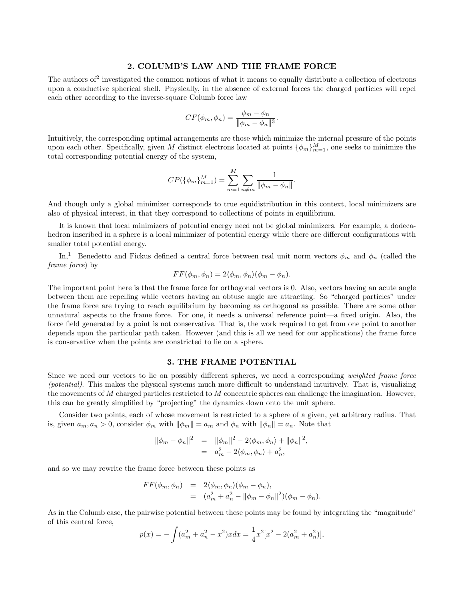## **2. COLUMB'S LAW AND THE FRAME FORCE**

The authors of<sup>2</sup> investigated the common notions of what it means to equally distribute a collection of electrons upon a conductive spherical shell. Physically, in the absence of external forces the charged particles will repel each other according to the inverse-square Columb force law

$$
CF(\phi_m, \phi_n) = \frac{\phi_m - \phi_n}{\|\phi_m - \phi_n\|^3}.
$$

Intuitively, the corresponding optimal arrangements are those which minimize the internal pressure of the points upon each other. Specifically, given M distinct electrons located at points  $\{\phi_m\}_{m=1}^M$ , one seeks to minimize the total corresponding potential energy of the system,

$$
CP(\{\phi_m\}_{m=1}^M) = \sum_{m=1}^M \sum_{n \neq m} \frac{1}{\|\phi_m - \phi_n\|}.
$$

And though only a global minimizer corresponds to true equidistribution in this context, local minimizers are also of physical interest, in that they correspond to collections of points in equilibrium.

It is known that local minimizers of potential energy need not be global minimizers. For example, a dodecahedron inscribed in a sphere is a local minimizer of potential energy while there are different configurations with smaller total potential energy.

In,<sup>1</sup> Benedetto and Fickus defined a central force between real unit norm vectors  $\phi_m$  and  $\phi_n$  (called the frame force) by

$$
FF(\phi_m, \phi_n) = 2\langle \phi_m, \phi_n \rangle (\phi_m - \phi_n).
$$

The important point here is that the frame force for orthogonal vectors is 0. Also, vectors having an acute angle between them are repelling while vectors having an obtuse angle are attracting. So "charged particles" under the frame force are trying to reach equilibrium by becoming as orthogonal as possible. There are some other unnatural aspects to the frame force. For one, it needs a universal reference point—a fixed origin. Also, the force field generated by a point is not conservative. That is, the work required to get from one point to another depends upon the particular path taken. However (and this is all we need for our applications) the frame force is conservative when the points are constricted to lie on a sphere.

## **3. THE FRAME POTENTIAL**

Since we need our vectors to lie on possibly different spheres, we need a corresponding weighted frame force (potential). This makes the physical systems much more difficult to understand intuitively. That is, visualizing the movements of M charged particles restricted to M concentric spheres can challenge the imagination. However, this can be greatly simplified by "projecting" the dynamics down onto the unit sphere.

Consider two points, each of whose movement is restricted to a sphere of a given, yet arbitrary radius. That is, given  $a_m, a_n > 0$ , consider  $\phi_m$  with  $\|\phi_m\| = a_m$  and  $\phi_n$  with  $\|\phi_n\| = a_n$ . Note that

$$
\begin{array}{rcl}\n\|\phi_m-\phi_n\|^2&=&\|\phi_m\|^2-2\langle\phi_m,\phi_n\rangle+\|\phi_n\|^2,\\
&=&a_m^2-2\langle\phi_m,\phi_n\rangle+a_n^2,\n\end{array}
$$

and so we may rewrite the frame force between these points as

$$
FF(\phi_m, \phi_n) = 2\langle \phi_m, \phi_n \rangle (\phi_m - \phi_n),
$$
  
= 
$$
(a_m^2 + a_n^2 - ||\phi_m - \phi_n||^2)(\phi_m - \phi_n).
$$

As in the Columb case, the pairwise potential between these points may be found by integrating the "magnitude" of this central force,

$$
p(x) = -\int (a_m^2 + a_n^2 - x^2)xdx = \frac{1}{4}x^2[x^2 - 2(a_m^2 + a_n^2)],
$$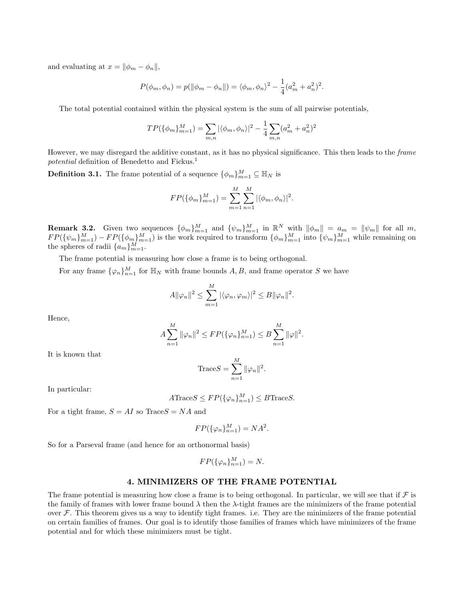and evaluating at  $x = ||\phi_m - \phi_n||$ ,

$$
P(\phi_m, \phi_n) = p(||\phi_m - \phi_n||) = \langle \phi_m, \phi_n \rangle^2 - \frac{1}{4}(a_m^2 + a_n^2)^2.
$$

The total potential contained within the physical system is the sum of all pairwise potentials,

$$
TP(\{\phi_m\}_{m=1}^M)=\sum_{m,n}|\langle\phi_m,\phi_n\rangle|^2-\frac{1}{4}\sum_{m,n}(a_m^2+a_n^2)^2
$$

However, we may disregard the additive constant, as it has no physical significance. This then leads to the frame potential definition of Benedetto and Fickus.<sup>1</sup>

**Definition 3.1.** The frame potential of a sequence  $\{\phi_m\}_{m=1}^M \subseteq \mathbb{H}_N$  is

$$
FP(\{\phi_m\}_{m=1}^M) = \sum_{m=1}^M \sum_{n=1}^M |\langle \phi_m, \phi_n \rangle|^2.
$$

**Remark 3.2.** Given two sequences  $\{\phi_m\}_{m=1}^M$  and  $\{\psi_m\}_{m=1}^M$  in  $\mathbb{R}^N$  with  $\|\phi_m\| = a_m = \|\psi_m\|$  for all m,  $FP({\{\psi_m\}}_{m=1}^M) - FP({\{\phi_m\}}_{m=1}^M)$  is the work required to transform  ${\{\phi_m\}}_{m=1}^M$  into  ${\{\psi_m\}}_{m=1}^M$  while remaining on the spheres of radii  $\{a_m\}_{m=1}^M$ .

The frame potential is measuring how close a frame is to being orthogonal.

For any frame  $\{\varphi_n\}_{n=1}^M$  for  $\mathbb{H}_N$  with frame bounds  $A, B$ , and frame operator S we have

$$
A\|\varphi_n\|^2 \leq \sum_{m=1}^M |\langle \varphi_n, \varphi_m \rangle|^2 \leq B\|\varphi_n\|^2.
$$

Hence,

$$
A\sum_{n=1}^{M} \|\varphi_n\|^2 \le FP(\{\varphi_n\}_{n=1}^M) \le B\sum_{n=1}^{M} \|\varphi\|^2.
$$

It is known that

$$
\text{Trace}S = \sum_{n=1}^{M} ||\varphi_n||^2.
$$

In particular:

$$
A\text{Trace}S \leq FP(\{\varphi_n\}_{n=1}^M) \leq B\text{Trace}S.
$$

For a tight frame,  $S = AI$  so Trace  $S = NA$  and

$$
FP(\{\varphi_n\}_{n=1}^M) = NA^2.
$$

So for a Parseval frame (and hence for an orthonormal basis)

$$
FP(\{\varphi_n\}_{n=1}^M) = N.
$$

## **4. MINIMIZERS OF THE FRAME POTENTIAL**

The frame potential is measuring how close a frame is to being orthogonal. In particular, we will see that if  $\mathcal F$  is the family of frames with lower frame bound  $\lambda$  then the  $\lambda$ -tight frames are the minimizers of the frame potential over  $\mathcal F$ . This theorem gives us a way to identify tight frames. i.e. They are the minimizers of the frame potential on certain families of frames. Our goal is to identify those families of frames which have minimizers of the frame potential and for which these minimizers must be tight.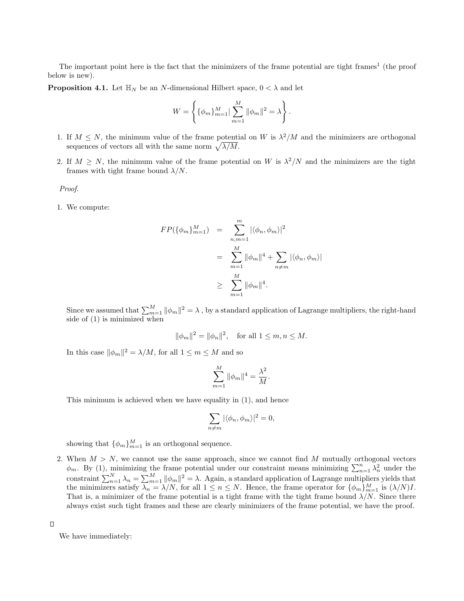The important point here is the fact that the minimizers of the frame potential are tight frames<sup>1</sup> (the proof below is new).

**Proposition 4.1.** Let  $\mathbb{H}_N$  be an N-dimensional Hilbert space,  $0 < \lambda$  and let

$$
W = \left\{ \{ \phi_m \}_{m=1}^M | \sum_{m=1}^M \| \phi_m \|^2 = \lambda \right\}.
$$

- 1. If  $M \leq N$ , the minimum value of the frame potential on W is  $\lambda^2/M$  and the minimizers are orthogonal sequences of vectors all with the same norm  $\sqrt{\lambda/M}$ .
- 2. If  $M \geq N$ , the minimum value of the frame potential on W is  $\lambda^2/N$  and the minimizers are the tight frames with tight frame bound  $\lambda/N$ .

Proof.

1. We compute:

$$
FP(\{\phi_m\}_{m=1}^M) = \sum_{n,m=1}^m |\langle \phi_n, \phi_m \rangle|^2
$$
  
= 
$$
\sum_{m=1}^M \|\phi_m\|^4 + \sum_{n \neq m} |\langle \phi_n, \phi_m \rangle|
$$
  

$$
\geq \sum_{m=1}^M \|\phi_m\|^4.
$$

Since we assumed that  $\sum_{m=1}^{M} \|\phi_m\|^2 = \lambda$  , by a standard application of Lagrange multipliers, the right-hand side of (1) is minimized when

$$
\|\phi_m\|^2 = \|\phi_n\|^2
$$
, for all  $1 \le m, n \le M$ .

In this case  $\|\phi_m\|^2 = \lambda/M$ , for all  $1 \le m \le M$  and so

$$
\sum_{m=1}^{M} \|\phi_m\|^4 = \frac{\lambda^2}{M}.
$$

This minimum is achieved when we have equality in (1), and hence

$$
\sum_{n \neq m} |\langle \phi_n, \phi_m \rangle|^2 = 0,
$$

showing that  $\{\phi_m\}_{m=1}^M$  is an orthogonal sequence.

2. When  $M > N$ , we cannot use the same approach, since we cannot find M mutually orthogonal vectors  $\phi_m$ . By (1), minimizing the frame potential under our constraint means minimizing  $\sum_{n=1}^n \lambda_n^2$  under the constraint  $\sum_{n=1}^{N} \lambda_n = \sum_{m=1}^{M} ||\phi_m||^2 = \lambda$ . Again, a standard application of Lagrange multipliers yields that the minimizers satisfy  $\lambda_n = \lambda/N$ , for all  $1 \le n \le N$ . Hence, the frame operator for  $\{\phi_m\}_{m=1}^M$  is  $(\lambda/N)I$ . That is, a minimizer of the frame potential is a tight frame with the tight frame bound  $\lambda/N$ . Since there always exist such tight frames and these are clearly minimizers of the frame potential, we have the proof.

 $\Box$ 

We have immediately: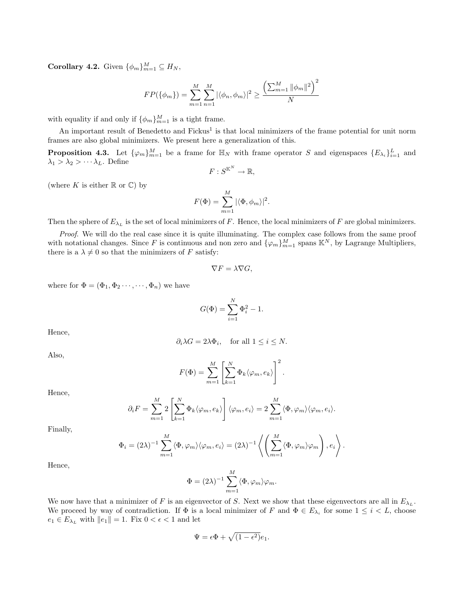**Corollary 4.2.** Given  $\{\phi_m\}_{m=1}^M \subseteq H_N$ ,

$$
FP(\{\phi_m\}) = \sum_{m=1}^{M} \sum_{n=1}^{M} |\langle \phi_n, \phi_m \rangle|^2 \ge \frac{\left(\sum_{m=1}^{M} ||\phi_m||^2\right)^2}{N}
$$

with equality if and only if  $\{\phi_m\}_{m=1}^M$  is a tight frame.

An important result of Benedetto and Fickus<sup>1</sup> is that local minimizers of the frame potential for unit norm frames are also global minimizers. We present here a generalization of this.

**Proposition 4.3.** Let  $\{\varphi_m\}_{m=1}^M$  be a frame for  $\mathbb{H}_N$  with frame operator S and eigenspaces  $\{E_{\lambda_i}\}_{i=1}^L$  and  $\lambda_1 > \lambda_2 > \cdots \lambda_L$ . Define

$$
F:S^{\mathbb{K}^N}\to\mathbb{R},
$$

(where K is either  $\mathbb R$  or  $\mathbb C$ ) by

$$
F(\Phi) = \sum_{m=1}^{M} |\langle \Phi, \phi_m \rangle|^2.
$$

Then the sphere of  $E_{\lambda_L}$  is the set of local minimizers of F. Hence, the local minimizers of F are global minimizers.

Proof. We will do the real case since it is quite illuminating. The complex case follows from the same proof with notational changes. Since F is continuous and non zero and  $\{\varphi_m\}_{m=1}^M$  spans  $\mathbb{K}^N$ , by Lagrange Multipliers, there is a  $\lambda \neq 0$  so that the minimizers of F satisfy:

$$
\nabla F = \lambda \nabla G,
$$

where for  $\Phi = (\Phi_1, \Phi_2 \cdots, \cdots, \Phi_n)$  we have

$$
G(\Phi) = \sum_{i=1}^{N} \Phi_i^2 - 1.
$$

Hence,

$$
\partial_i \lambda G = 2\lambda \Phi_i
$$
, for all  $1 \leq i \leq N$ .

Also,

$$
F(\Phi) = \sum_{m=1}^{M} \left[ \sum_{k=1}^{N} \Phi_k \langle \varphi_m, e_k \rangle \right]^2.
$$

Hence,

$$
\partial_i F = \sum_{m=1}^M 2 \left[ \sum_{k=1}^N \Phi_k \langle \varphi_m, e_k \rangle \right] \langle \varphi_m, e_i \rangle = 2 \sum_{m=1}^M \langle \Phi, \varphi_m \rangle \langle \varphi_m, e_i \rangle.
$$

Finally,

$$
\Phi_i = (2\lambda)^{-1} \sum_{m=1}^M \langle \Phi, \varphi_m \rangle \langle \varphi_m, e_i \rangle = (2\lambda)^{-1} \left\langle \left( \sum_{m=1}^M \langle \Phi, \varphi_m \rangle \varphi_m \right), e_i \right\rangle.
$$

Hence,

$$
\Phi = (2\lambda)^{-1} \sum_{m=1}^{M} \langle \Phi, \varphi_m \rangle \varphi_m.
$$

We now have that a minimizer of F is an eigenvector of S. Next we show that these eigenvectors are all in  $E_{\lambda_L}$ . We proceed by way of contradiction. If  $\Phi$  is a local minimizer of F and  $\Phi \in E_{\lambda_i}$  for some  $1 \leq i \leq L$ , choose  $e_1 \in E_{\lambda_L}$  with  $||e_1|| = 1$ . Fix  $0 < \epsilon < 1$  and let

$$
\Psi = \epsilon \Phi + \sqrt{(1 - \epsilon^2)} e_1.
$$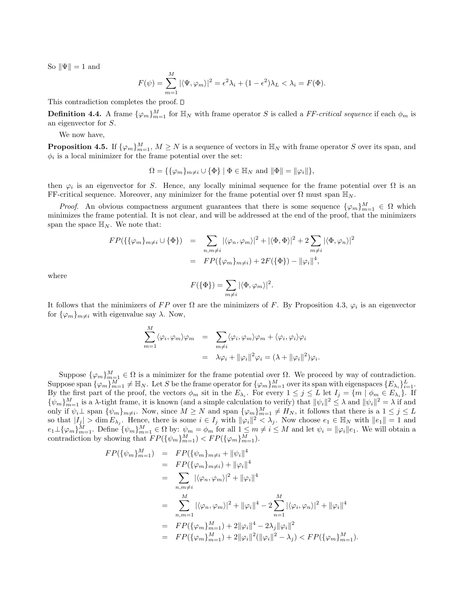So  $\|\Psi\|=1$  and

$$
F(\psi) = \sum_{m=1}^{M} |\langle \Psi, \varphi_m \rangle|^2 = \epsilon^2 \lambda_i + (1 - \epsilon^2) \lambda_L < \lambda_i = F(\Phi).
$$

This contradiction completes the proof.  $\square$ 

**Definition 4.4.** A frame  $\{\varphi_m\}_{m=1}^M$  for  $\mathbb{H}_N$  with frame operator S is called a FF-critical sequence if each  $\phi_m$  is an eigenvector for S.

We now have,

**Proposition 4.5.** If  $\{\varphi_m\}_{m=1}^M$ ,  $M \geq N$  is a sequence of vectors in  $\mathbb{H}_N$  with frame operator S over its span, and  $\phi_i$  is a local minimizer for the frame potential over the set:

$$
\Omega = \{ \{\varphi_m\}_{m \neq i} \cup \{\Phi\} \mid \Phi \in \mathbb{H}_N \text{ and } \|\Phi\| = \|\varphi_i\| \},\
$$

then  $\varphi_i$  is an eigenvector for S. Hence, any locally minimal sequence for the frame potential over  $\Omega$  is an FF-critical sequence. Moreover, any minimizer for the frame potential over  $\Omega$  must span  $\mathbb{H}_N$ .

*Proof.* An obvious compactness argument guarantees that there is some sequence  $\{\varphi_m\}_{m=1}^M \in \Omega$  which minimizes the frame potential. It is not clear, and will be addressed at the end of the proof, that the minimizers span the space  $\mathbb{H}_N$ . We note that:

$$
FP(\{\{\varphi_m\}_{m\neq i} \cup \{\Phi\}) = \sum_{n,m\neq i} |\langle \varphi_n, \varphi_m \rangle|^2 + |\langle \Phi, \Phi \rangle|^2 + 2 \sum_{m\neq i} |\langle \Phi, \varphi_n \rangle|^2
$$
  
= 
$$
FP(\{\varphi_m\}_{m\neq i}) + 2F(\{\Phi\}) - \|\varphi_i\|^4,
$$

where

$$
F(\{\Phi\}) = \sum_{m \neq i} |\langle \Phi, \varphi_m \rangle|^2.
$$

It follows that the minimizers of FP over  $\Omega$  are the minimizers of F. By Proposition 4.3,  $\varphi_i$  is an eigenvector for  $\{\varphi_m\}_{m\neq i}$  with eigenvalue say  $\lambda$ . Now,

$$
\sum_{m=1}^{M} \langle \varphi_i, \varphi_m \rangle \varphi_m = \sum_{m \neq i} \langle \varphi_i, \varphi_m \rangle \varphi_m + \langle \varphi_i, \varphi_i \rangle \varphi_i
$$

$$
= \lambda \varphi_i + ||\varphi_i||^2 \varphi_i = (\lambda + ||\varphi_i||^2) \varphi_i.
$$

Suppose  $\{\varphi_m\}_{m=1}^M \in \Omega$  is a minimizer for the frame potential over  $\Omega$ . We proceed by way of contradiction. Suppose span  $\{\varphi_m\}_{m=1}^M \neq \mathbb{H}_N$ . Let S be the frame operator for  $\{\varphi_m\}_{m=1}^M$  over its span with eigenspaces  $\{E_{\lambda_i}\}_{i=1}^L$ . By the first part of the proof, the vectors  $\phi_m$  sit in the  $E_{\lambda_i}$ . For every  $1 \leq j \leq L$  let  $I_j = \{m \mid \phi_m \in E_{\lambda_i}\}$ . If  $\{\psi_m\}_{m=1}^M$  is a  $\lambda$ -tight frame, it is known (and a simple calculation to verify) that  $\|\psi_i\|^2 \leq \lambda$  and  $\|\psi_i\|^2 = \lambda$  if and only if  $\psi_i \perp$  span  $\{\psi_m\}_{m\neq i}$ . Now, since  $M \geq N$  and span  $\{\varphi_m\}_{m=1}^M \neq H_N$ , it follows that there is a  $1 \leq j \leq L$ so that  $|I_j| > \dim E_{\lambda_j}$ . Hence, there is some  $i \in I_j$  with  $\|\varphi_i\|^2 < \lambda_j$ . Now choose  $e_1 \in \mathbb{H}_N$  with  $\|e_1\| = 1$  and  $e_1 \perp \{\varphi_m\}_{m=1}^M$ . Define  $\{\psi_m\}_{m=1}^M \in \Omega$  by:  $\psi_m = \phi_m$  for all  $1 \leq m \neq i \leq M$  and let  $\psi_i = ||\varphi_i||e_1$ . We will obtain a contradiction by showing that  $FP({\{\psi_m\}}_{m=1}^M) < FP({\{\varphi_m\}}_{m=1}^M)$ .

$$
FP(\{\psi_m\}_{m=1}^M) = FP(\{\psi_m\}_{m\neq i} + \|\psi_i\|^4)
$$
  
\n
$$
= FP(\{\varphi_m\}_{m\neq i}) + \|\varphi_i\|^4
$$
  
\n
$$
= \sum_{n,m\neq i} |\langle\varphi_n, \varphi_m\rangle|^2 + \|\varphi_i\|^4
$$
  
\n
$$
= \sum_{n,m=1}^M |\langle\varphi_n, \varphi_m\rangle|^2 + \|\varphi_i\|^4 - 2 \sum_{n=1}^M |\langle\varphi_i, \varphi_n\rangle|^2 + \|\varphi_i\|^4
$$
  
\n
$$
= FP(\{\varphi_m\}_{m=1}^M) + 2\|\varphi_i\|^4 - 2\lambda_j \|\varphi_i\|^2
$$
  
\n
$$
= FP(\{\varphi_m\}_{m=1}^M) + 2\|\varphi_i\|^2 (\|\varphi_i\|^2 - \lambda_j) < FP(\{\varphi_m\}_{m=1}^M).
$$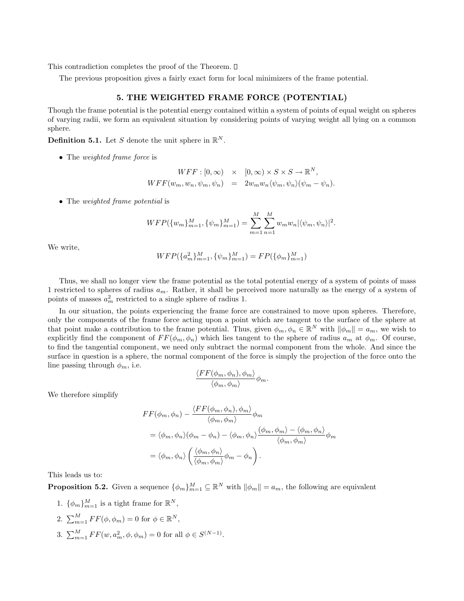This contradiction completes the proof of the Theorem.  $\square$ 

The previous proposition gives a fairly exact form for local minimizers of the frame potential.

### **5. THE WEIGHTED FRAME FORCE (POTENTIAL)**

Though the frame potential is the potential energy contained within a system of points of equal weight on spheres of varying radii, we form an equivalent situation by considering points of varying weight all lying on a common sphere.

**Definition 5.1.** Let S denote the unit sphere in  $\mathbb{R}^N$ .

• The *weighted frame force* is

$$
WFF : [0, \infty) \times [0, \infty) \times S \times S \to \mathbb{R}^N,
$$
  

$$
WFF(w_m, w_n, \psi_m, \psi_n) = 2w_m w_n \langle \psi_m, \psi_n \rangle (\psi_m - \psi_n).
$$

• The *weighted frame potential* is

$$
WFP({w_m}_{m=1}^M,{\psi_m}_{m=1}^M)=\sum_{m=1}^M\sum_{n=1}^M w_m w_n |\langle \psi_m, \psi_n \rangle|^2.
$$

We write,

$$
WFP({a_m^n}_m)_{m=1}^M, {\psi_m}_m^{M}_{m=1}) = FP({\phi_m}_m)_{m=1}^M)
$$

Thus, we shall no longer view the frame potential as the total potential energy of a system of points of mass 1 restricted to spheres of radius  $a_m$ . Rather, it shall be perceived more naturally as the energy of a system of points of masses  $a_m^2$  restricted to a single sphere of radius 1.

In our situation, the points experiencing the frame force are constrained to move upon spheres. Therefore, only the components of the frame force acting upon a point which are tangent to the surface of the sphere at that point make a contribution to the frame potential. Thus, given  $\phi_m, \phi_n \in \mathbb{R}^N$  with  $\|\phi_m\| = a_m$ , we wish to explicitly find the component of  $FF(\phi_m, \phi_n)$  which lies tangent to the sphere of radius  $a_m$  at  $\phi_m$ . Of course, to find the tangential component, we need only subtract the normal component from the whole. And since the surface in question is a sphere, the normal component of the force is simply the projection of the force onto the line passing through  $\phi_m$ , i.e.

$$
\frac{\langle FF(\phi_m, \phi_n), \phi_m \rangle}{\langle \phi_m, \phi_m \rangle} \phi_m.
$$

We therefore simplify

$$
FF(\phi_m, \phi_n) - \frac{\langle FF(\phi_m, \phi_n), \phi_m \rangle}{\langle \phi_m, \phi_m \rangle} \phi_m
$$
  
=  $\langle \phi_m, \phi_n \rangle (\phi_m - \phi_n) - \langle \phi_m, \phi_n \rangle \frac{(\phi_m, \phi_m) - \langle \phi_m, \phi_n \rangle}{\langle \phi_m, \phi_m \rangle} \phi_m$   
=  $\langle \phi_m, \phi_n \rangle \left( \frac{\langle \phi_m, \phi_n \rangle}{\langle \phi_m, \phi_m \rangle} \phi_m - \phi_n \right).$ 

This leads us to:

**Proposition 5.2.** Given a sequence  $\{\phi_m\}_{m=1}^M \subseteq \mathbb{R}^N$  with  $\|\phi_m\| = a_m$ , the following are equivalent

- 1.  $\{\phi_m\}_{m=1}^M$  is a tight frame for  $\mathbb{R}^N$ ,
- 2.  $\sum_{m=1}^{M} FF(\phi, \phi_m)=0$  for  $\phi \in \mathbb{R}^N$ ,
- 3.  $\sum_{m=1}^{M} FF(w, a_m^2, \phi, \phi_m) = 0$  for all  $\phi \in S^{(N-1)}$ .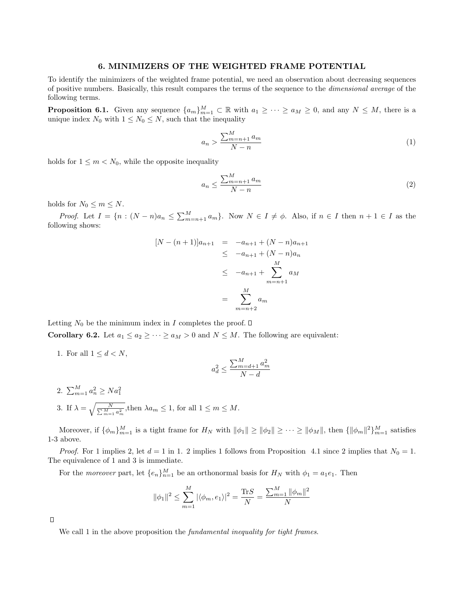## **6. MINIMIZERS OF THE WEIGHTED FRAME POTENTIAL**

To identify the minimizers of the weighted frame potential, we need an observation about decreasing sequences of positive numbers. Basically, this result compares the terms of the sequence to the dimensional average of the following terms.

**Proposition 6.1.** Given any sequence  $\{a_m\}_{m=1}^M \subset \mathbb{R}$  with  $a_1 \geq \cdots \geq a_M \geq 0$ , and any  $N \leq M$ , there is a unique index  $N_0$  with  $1 \leq N_0 \leq N$ , such that the inequality

$$
a_n > \frac{\sum_{m=n+1}^{M} a_m}{N-n}
$$
\n<sup>(1)</sup>

holds for  $1 \leq m < N_0$ , while the opposite inequality

$$
a_n \le \frac{\sum_{m=n+1}^{M} a_m}{N-n} \tag{2}
$$

holds for  $N_0 \leq m \leq N$ .

*Proof.* Let  $I = \{n : (N-n)a_n \leq \sum_{m=n+1}^{M} a_m\}$ . Now  $N \in I \neq \emptyset$ . Also, if  $n \in I$  then  $n+1 \in I$  as the following shows:

$$
[N - (n+1)]a_{n+1} = -a_{n+1} + (N - n)a_{n+1}
$$
  
\n
$$
\leq -a_{n+1} + (N - n)a_n
$$
  
\n
$$
\leq -a_{n+1} + \sum_{m=n+1}^{M} a_M
$$
  
\n
$$
= \sum_{m=n+2}^{M} a_m
$$

Letting  $N_0$  be the minimum index in I completes the proof.  $\square$ 

**Corollary 6.2.** Let  $a_1 \le a_2 \ge \cdots \ge a_M > 0$  and  $N \le M$ . The following are equivalent:

1. For all  $1 \leq d < N$ ,

$$
a_d^2 \le \frac{\sum_{m=d+1}^{M} a_m^2}{N-d}
$$

2.  $\sum_{m=1}^{M} a_n^2 \geq Na_1^2$ 3. If  $\lambda = \sqrt{\frac{N}{\sum_{m=1}^{M} a_m^2}}$ , then  $\lambda a_m \leq 1$ , for all  $1 \leq m \leq M$ .

Moreover, if  $\{\phi_m\}_{m=1}^M$  is a tight frame for  $H_N$  with  $\|\phi_1\| \ge \|\phi_2\| \ge \cdots \ge \|\phi_M\|$ , then  $\{\|\phi_m\|^2\}_{m=1}^M$  satisfies 1-3 above.

*Proof.* For 1 implies 2, let  $d = 1$  in 1. 2 implies 1 follows from Proposition 4.1 since 2 implies that  $N_0 = 1$ . The equivalence of 1 and 3 is immediate.

For the *moreover* part, let  $\{e_n\}_{n=1}^M$  be an orthonormal basis for  $H_N$  with  $\phi_1 = a_1 e_1$ . Then

$$
\|\phi_1\|^2 \le \sum_{m=1}^M |\langle \phi_m, e_1 \rangle|^2 = \frac{\text{Tr}S}{N} = \frac{\sum_{m=1}^M \|\phi_m\|^2}{N}
$$

 $\Box$ 

We call 1 in the above proposition the *fundamental inequality for tight frames*.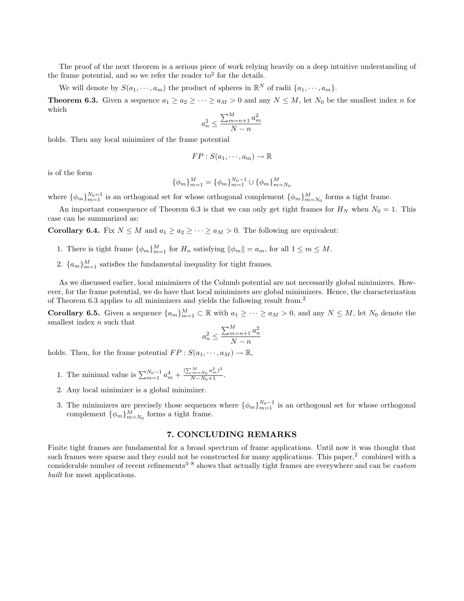The proof of the next theorem is a serious piece of work relying heavily on a deep intuitive understanding of the frame potential, and so we refer the reader to<sup>2</sup> for the details.

We will denote by  $S(a_1, \dots, a_m)$  the product of spheres in  $\mathbb{R}^N$  of radii  $\{a_1, \dots, a_m\}$ .

**Theorem 6.3.** Given a sequence  $a_1 \ge a_2 \ge \cdots \ge a_M > 0$  and any  $N \le M$ , let  $N_0$  be the smallest index n for which

$$
a_n^2 \le \frac{\sum_{m=n+1}^M a_m^2}{N-n}
$$

holds. Then any local minimizer of the frame potential

$$
FP: S(a_1, \cdots, a_m) \to \mathbb{R}
$$

is of the form

$$
\{\phi_m\}_{m=1}^M = \{\phi_m\}_{m=1}^{N_0-1} \cup \{\phi_m\}_{m=N_0}^M
$$

where  $\{\phi_m\}_{m=1}^{N_0=1}$  is an orthogonal set for whose orthogonal complement  $\{\phi_m\}_{m=N_0}^M$  forms a tight frame.

An important consequence of Theorem 6.3 is that we can only get tight frames for  $H_N$  when  $N_0 = 1$ . This case can be summarized as:

**Corollary 6.4.** Fix  $N \leq M$  and  $a_1 \geq a_2 \geq \cdots \geq a_M > 0$ . The following are equivalent:

- 1. There is tight frame  $\{\phi_m\}_{m=1}^M$  for  $H_n$  satisfying  $\|\phi_m\| = a_m$ , for all  $1 \leq m \leq M$ .
- 2.  ${a_m}_{m=1}^M$  satisfies the fundamental inequality for tight frames.

As we discussed earlier, local minimizers of the Columb potential are not necessarily global minimizers. However, for the frame potential, we do have that local minimizers are global minimizers. Hence, the characterization of Theorem 6.3 applies to all minimizers and yields the following result from.<sup>2</sup>

**Corollary 6.5.** Given a sequence  $\{a_m\}_{m=1}^M \subset \mathbb{R}$  with  $a_1 \geq \cdots \geq a_M > 0$ , and any  $N \leq M$ , let  $N_0$  denote the smallest index  $n$  such that

$$
a_n^2 \le \frac{\sum_{m=n+1}^M a_n^2}{N-n}
$$

holds. Then, for the frame potential  $FP : S(a_1, \dots, a_M) \to \mathbb{R}$ ,

- 1. The minimal value is  $\sum_{m=1}^{N_0-1} a_m^4 + \frac{(\sum_{m=N_0}^{M} a_m^2)^2}{N-N_0+1}$ .
- 2. Any local minimizer is a global minimizer.
- 3. The minimizers are precisely those sequences where  $\{\phi_m\}_{m=1}^{N_0-1}$  is an orthogonal set for whose orthogonal complement  $\{\phi_m\}_{m=N_0}^M$  forms a tight frame.

## **7. CONCLUDING REMARKS**

Finite tight frames are fundamental for a broad spectrum of frame applications. Until now it was thought that such frames were sparse and they could not be constructed for many applications. This paper, $\alpha$  combined with a considerable number of recent refinements<sup>3–8</sup> shows that actually tight frames are everywhere and can be *custom* built for most applications.